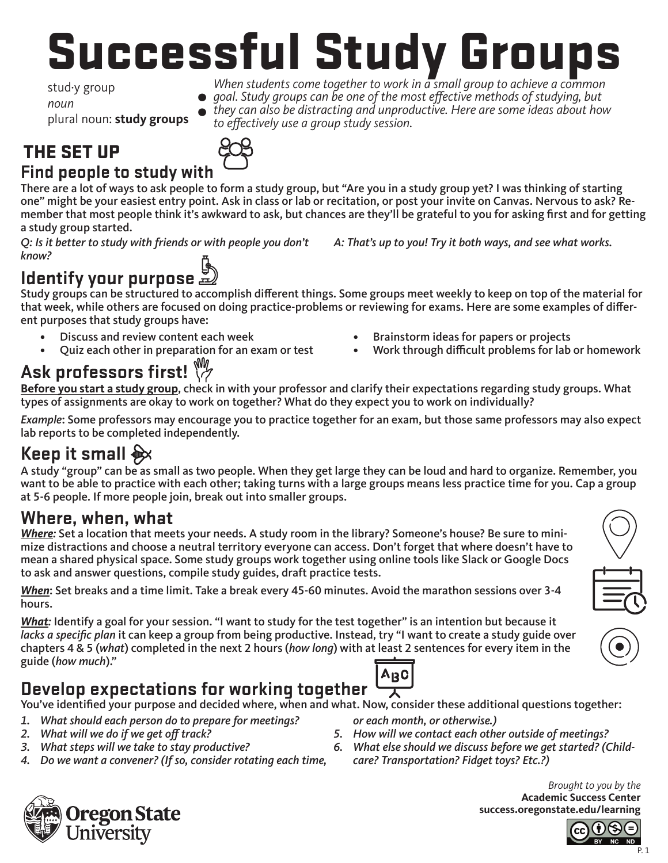# Successful Study Groups

stud·y group *noun* plural noun: **study groups**

*When students come together to work in a small group to achieve a common*  goal. Study groups can be one of the most effective methods of studying, but

*they can also be distracting and unproductive. Here are some ideas about how*  to effectively use a group study session. **:**

# THE SET UP



**Find people to study with** There are a lot of ways to ask people to form a study group, but "Are you in a study group yet? I was thinking of starting one" might be your easiest entry point. Ask in class or lab or recitation, or post your invite on Canvas. Nervous to ask? Remember that most people think it's awkward to ask, but chances are they'll be grateful to you for asking first and for getting a study group started.

Q: Is it better to study with friends or with people you don't know?

# **Identify your purpose**

Study groups can be structured to accomplish different things. Some groups meet weekly to keep on top of the material for that week, while others are focused on doing practice-problems or reviewing for exams. Here are some examples of different purposes that study groups have:

- Discuss and review content each week
- Quiz each other in preparation for an exam or test

# **Ask professors first!**

• Brainstorm ideas for papers or projects

A: That's up to you! Try it both ways, and see what works.

• Work through difficult problems for lab or homework

**Before you start a study group**, check in with your professor and clarify their expectations regarding study groups. What types of assignments are okay to work on together? What do they expect you to work on individually?

*Example*: Some professors may encourage you to practice together for an exam, but those same professors may also expect lab reports to be completed independently.

## **Keep it small %**

A study "group" can be as small as two people. When they get large they can be loud and hard to organize. Remember, you want to be able to practice with each other; taking turns with a large groups means less practice time for you. Cap a group at 5-6 people. If more people join, break out into smaller groups.

#### **Where, when, what**

*Where:* Set a location that meets your needs. A study room in the library? Someone's house? Be sure to minimize distractions and choose a neutral territory everyone can access. Don't forget that where doesn't have to mean a shared physical space. Some study groups work together using online tools like Slack or Google Docs to ask and answer questions, compile study guides, draft practice tests.

*When*: Set breaks and a time limit. Take a break every 45-60 minutes. Avoid the marathon sessions over 3-4 hours.

*What:* Identify a goal for your session. "I want to study for the test together" is an intention but because it lacks a specific plan it can keep a group from being productive. Instead, try "I want to create a study guide over chapters 4 & 5 (*what*) completed in the next 2 hours (how long) with at least 2 sentences for every item in the guide (*how much*)."

### **Develop expectations for working together**

You've identified your purpose and decided where, when and what. Now, consider these additional questions together:

- 1. What should each person do to prepare for meetings?
- 2. What will we do if we get off track?
- 3. What steps will we take to stay productive?
- 4. Do we want a convener? (If so, consider rotating each time,
- or each month, or otherwise.)

丆

- 5. How will we contact each other outside of meetings?
- 6. What else should we discuss before we get started? (Childcare? Transportation? Fidget toys? Etc.?)



*Brought to you by the*  **Academic Success Center success.oregonstate.edu/learning**

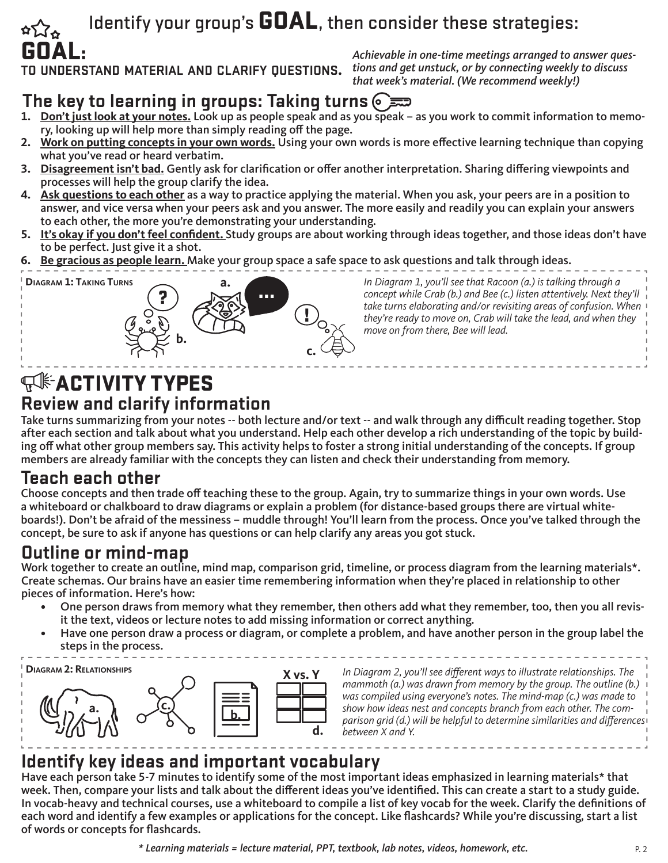## Identify your group's GOAL, then consider these strategies:

GOAL: **to understand material and clarify questions.**

Achievable in one-time meetings arranged to answer questions and get unstuck, or by connecting weekly to discuss that week's material. (We recommend weekly!)

#### **The key to learning in groups: Taking turns**

- **1. Don't just look at your notes.** Look up as people speak and as you speak as you work to commit information to memory, looking up will help more than simply reading off the page.
- **2. Work on putting concepts in your own words.** Using your own words is more effective learning technique than copying what you've read or heard verbatim.
- **3. Disagreement isn't bad.** Gently ask for clarification or offer another interpretation. Sharing differing viewpoints and processes will help the group clarify the idea.
- **4. Ask questions to each other** as a way to practice applying the material. When you ask, your peers are in a position to answer, and vice versa when your peers ask and you answer. The more easily and readily you can explain your answers to each other, the more you're demonstrating your understanding.
- **5. It's okay if you don't feel confident.** Study groups are about working through ideas together, and those ideas don't have to be perfect. Just give it a shot.
- **6. Be gracious as people learn.** Make your group space a safe space to ask questions and talk through ideas.



In Diagram 1, you'll see that Racoon (a.) is talking through a concept while Crab (b.) and Bee (c.) listen attentively. Next they'll *take turns elaborating and/or revisiting areas of confusion. When*  they're ready to move on, Crab will take the lead, and when they move on from there, Bee will lead.

### **WE ACTIVITY TYPES Review and clarify information**

Take turns summarizing from your notes -- both lecture and/or text -- and walk through any difficult reading together. Stop after each section and talk about what you understand. Help each other develop a rich understanding of the topic by building off what other group members say. This activity helps to foster a strong initial understanding of the concepts. If group members are already familiar with the concepts they can listen and check their understanding from memory.

#### **Teach each other**

Choose concepts and then trade off teaching these to the group. Again, try to summarize things in your own words. Use a whiteboard or chalkboard to draw diagrams or explain a problem (for distance-based groups there are virtual whiteboards!). Don't be afraid of the messiness – muddle through! You'll learn from the process. Once you've talked through the concept, be sure to ask if anyone has questions or can help clarify any areas you got stuck.

#### **Outline or mind-map**

Work together to create an outline, mind map, comparison grid, timeline, or process diagram from the learning materials\*. Create schemas. Our brains have an easier time remembering information when they're placed in relationship to other pieces of information. Here's how:

- One person draws from memory what they remember, then others add what they remember, too, then you all revisit the text, videos or lecture notes to add missing information or correct anything.
- Have one person draw a process or diagram, or complete a problem, and have another person in the group label the steps in the process.



In Diagram 2, you'll see different ways to illustrate relationships. The mammoth (a.) was drawn from memory by the group. The outline (b.) was compiled using everyone's notes. The mind-map (c.) was made to show how ideas nest and concepts branch from each other. The comparison grid (d.) will be helpful to determine similarities and differences *between X and Y.* 

#### **Identify key ideas and important vocabulary**

Have each person take 5-7 minutes to identify some of the most important ideas emphasized in learning materials\* that week. Then, compare your lists and talk about the different ideas you've identified. This can create a start to a study guide. In vocab-heavy and technical courses, use a whiteboard to compile a list of key vocab for the week. Clarify the definitions of each word and identify a few examples or applications for the concept. Like flashcards? While you're discussing, start a list of words or concepts for flashcards.

\* Learning materials = lecture material, PPT, textbook, lab notes, videos, homework, etc.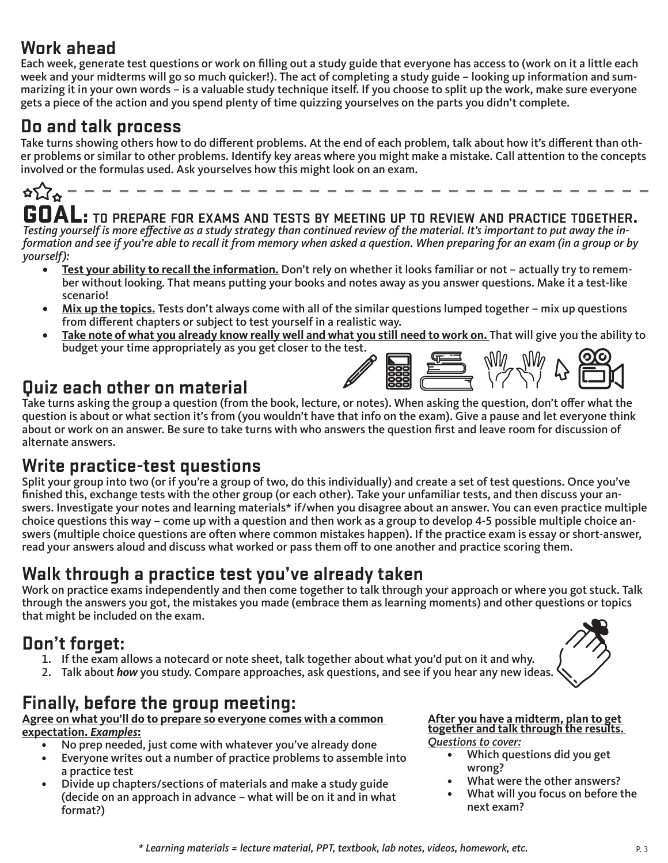#### **Work ahead**

Each week, generate test questions or work on filling out a study guide that everyone has access to (work on it a little each week and your midterms will go so much quicker!). The act of completing a study guide – looking up information and summarizing it in your own words – is a valuable study technique itself. If you choose to split up the work, make sure everyone gets a piece of the action and you spend plenty of time quizzing yourselves on the parts you didn't complete.

#### **Do and talk process**

Take turns showing others how to do different problems. At the end of each problem, talk about how it's different than other problems or similar to other problems. Identify key areas where you might make a mistake. Call attention to the concepts involved or the formulas used. Ask yourselves how this might look on an exam.

**UDAL:** TO PREPARE FOR EXAMS AND TESTS BY MEETING UP TO REVIEW AND PRACTICE TOGETHER.<br>Testing yourself is more effective as a study strategy than continued review of the material. It's important to put away the information and see if you're able to recall it from memory when asked a question. When preparing for an exam (in a group or by yourself):

- **• Test your ability to recall the information.** Don't rely on whether it looks familiar or not actually try to remember without looking. That means putting your books and notes away as you answer questions. Make it a test-like scenario!
- **• Mix up the topics.** Tests don't always come with all of the similar questions lumped together mix up questions from different chapters or subject to test yourself in a realistic way.
- **• Take note of what you already know really well and what you still need to work on.** That will give you the ability to budget your time appropriately as you get closer to the test.

#### **Quiz each other on material**

Take turns asking the group a question (from the book, lecture, or notes). When asking the question, don't offer what the question is about or what section it's from (you wouldn't have that info on the exam). Give a pause and let everyone think about or work on an answer. Be sure to take turns with who answers the question first and leave room for discussion of alternate answers.

#### **Write practice-test questions**

Split your group into two (or if you're a group of two, do this individually) and create a set of test questions. Once you've finished this, exchange tests with the other group (or each other). Take your unfamiliar tests, and then discuss your answers. Investigate your notes and learning materials\* if/when you disagree about an answer. You can even practice multiple choice questions this way – come up with a question and then work as a group to develop 4-5 possible multiple choice answers (multiple choice questions are often where common mistakes happen). If the practice exam is essay or short-answer, read your answers aloud and discuss what worked or pass them off to one another and practice scoring them.

#### **Walk through a practice test you've already taken**

Work on practice exams independently and then come together to talk through your approach or where you got stuck. Talk through the answers you got, the mistakes you made (embrace them as learning moments) and other questions or topics that might be included on the exam.

#### **Don't forget:**

- 1. If the exam allows a notecard or note sheet, talk together about what you'd put on it and why.
- 2. Talk about *how* you study. Compare approaches, ask questions, and see if you hear any new ideas.

#### **Finally, before the group meeting:**

#### **Agree on what you'll do to prepare so everyone comes with a common expectation.** *Examples***:**

- No prep needed, just come with whatever you've already done
- Everyone writes out a number of practice problems to assemble into a practice test
- Divide up chapters/sections of materials and make a study guide (decide on an approach in advance – what will be on it and in what format?)

#### **After you have a midterm, plan to get together and talk through the results.**  Questions to cover:

- Which questions did you get wrong?
- What were the other answers?
- What will you focus on before the next exam?